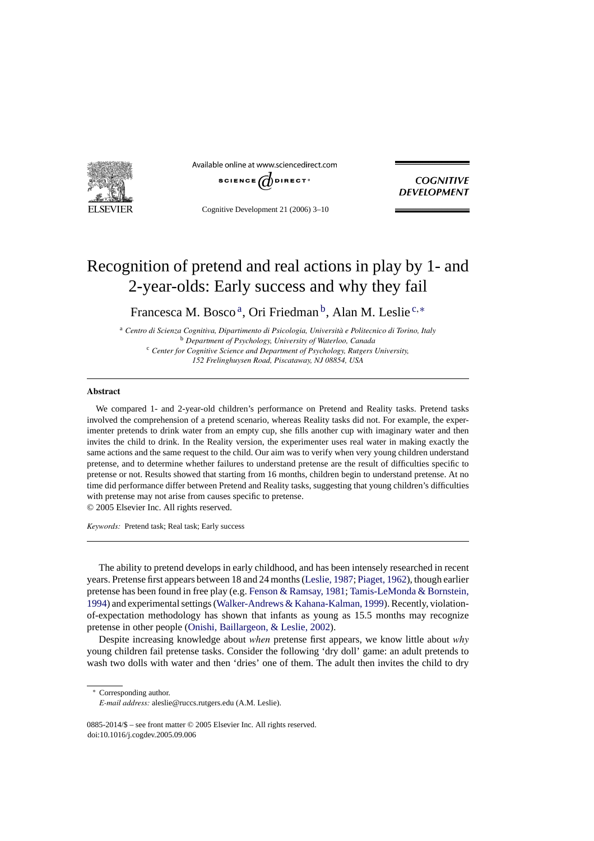

Available online at www.sciencedirect.com



Cognitive Development 21 (2006) 3–10

**COGNITIVE DEVELOPMENT** 

# Recognition of pretend and real actions in play by 1- and 2-year-olds: Early success and why they fail

Francesca M. Bosco<sup>a</sup>, Ori Friedman<sup>b</sup>, Alan M. Leslie<sup>c,\*</sup>

<sup>a</sup> Centro di Scienza Cognitiva, Dipartimento di Psicologia, Università e Politecnico di Torino, Italy <sup>b</sup> *Department of Psychology, University of Waterloo, Canada* <sup>c</sup> *Center for Cognitive Science and Department of Psychology, Rutgers University, 152 Frelinghuysen Road, Piscataway, NJ 08854, USA*

#### **Abstract**

We compared 1- and 2-year-old children's performance on Pretend and Reality tasks. Pretend tasks involved the comprehension of a pretend scenario, whereas Reality tasks did not. For example, the experimenter pretends to drink water from an empty cup, she fills another cup with imaginary water and then invites the child to drink. In the Reality version, the experimenter uses real water in making exactly the same actions and the same request to the child. Our aim was to verify when very young children understand pretense, and to determine whether failures to understand pretense are the result of difficulties specific to pretense or not. Results showed that starting from 16 months, children begin to understand pretense. At no time did performance differ between Pretend and Reality tasks, suggesting that young children's difficulties with pretense may not arise from causes specific to pretense.

© 2005 Elsevier Inc. All rights reserved.

*Keywords:* Pretend task; Real task; Early success

The ability to pretend develops in early childhood, and has been intensely researched in recent years. Pretense first appears between 18 and 24 months ([Leslie, 1987;](#page-7-0) [Piaget, 1962\),](#page-7-0) though earlier pretense has been found in free play (e.g. [Fenson & Ramsay, 1981;](#page-7-0) [Tamis-LeMonda & Bornstein,](#page-7-0) [1994\) a](#page-7-0)nd experimental settings ([Walker-Andrews & Kahana-Kalman, 1999\).](#page-7-0) Recently, violationof-expectation methodology has shown that infants as young as 15.5 months may recognize pretense in other people [\(Onishi, Baillargeon, & Leslie, 2002\).](#page-7-0)

Despite increasing knowledge about *when* pretense first appears, we know little about *why* young children fail pretense tasks. Consider the following 'dry doll' game: an adult pretends to wash two dolls with water and then 'dries' one of them. The adult then invites the child to dry

∗ Corresponding author.

*E-mail address:* aleslie@ruccs.rutgers.edu (A.M. Leslie).

<sup>0885-2014/\$ –</sup> see front matter © 2005 Elsevier Inc. All rights reserved. doi:10.1016/j.cogdev.2005.09.006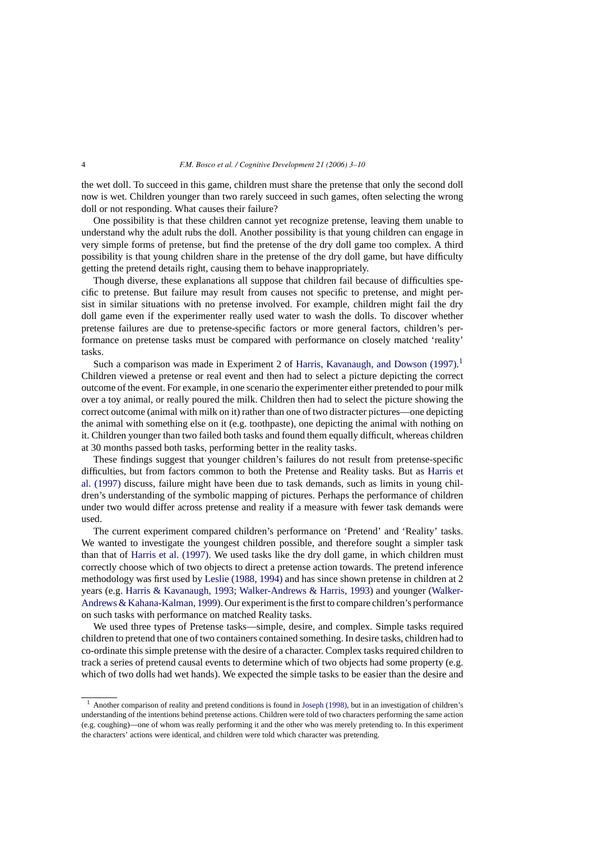the wet doll. To succeed in this game, children must share the pretense that only the second doll now is wet. Children younger than two rarely succeed in such games, often selecting the wrong doll or not responding. What causes their failure?

One possibility is that these children cannot yet recognize pretense, leaving them unable to understand why the adult rubs the doll. Another possibility is that young children can engage in very simple forms of pretense, but find the pretense of the dry doll game too complex. A third possibility is that young children share in the pretense of the dry doll game, but have difficulty getting the pretend details right, causing them to behave inappropriately.

Though diverse, these explanations all suppose that children fail because of difficulties specific to pretense. But failure may result from causes not specific to pretense, and might persist in similar situations with no pretense involved. For example, children might fail the dry doll game even if the experimenter really used water to wash the dolls. To discover whether pretense failures are due to pretense-specific factors or more general factors, children's performance on pretense tasks must be compared with performance on closely matched 'reality' tasks.

Such a comparison was made in Experiment 2 of [Harris, Kavanaugh, and Dowson \(1997\).](#page-7-0)<sup>1</sup> Children viewed a pretense or real event and then had to select a picture depicting the correct outcome of the event. For example, in one scenario the experimenter either pretended to pour milk over a toy animal, or really poured the milk. Children then had to select the picture showing the correct outcome (animal with milk on it) rather than one of two distracter pictures—one depicting the animal with something else on it (e.g. toothpaste), one depicting the animal with nothing on it. Children younger than two failed both tasks and found them equally difficult, whereas children at 30 months passed both tasks, performing better in the reality tasks.

These findings suggest that younger children's failures do not result from pretense-specific difficulties, but from factors common to both the Pretense and Reality tasks. But as [Harris et](#page-7-0) [al. \(1997\)](#page-7-0) discuss, failure might have been due to task demands, such as limits in young children's understanding of the symbolic mapping of pictures. Perhaps the performance of children under two would differ across pretense and reality if a measure with fewer task demands were used.

The current experiment compared children's performance on 'Pretend' and 'Reality' tasks. We wanted to investigate the youngest children possible, and therefore sought a simpler task than that of [Harris et al. \(1997\).](#page-7-0) We used tasks like the dry doll game, in which children must correctly choose which of two objects to direct a pretense action towards. The pretend inference methodology was first used by [Leslie \(1988, 1994\)](#page-7-0) and has since shown pretense in children at 2 years (e.g. [Harris & Kavanaugh, 1993;](#page-7-0) [Walker-Andrews & Harris, 1993\)](#page-7-0) and younger ([Walker-](#page-7-0)Andrews [& Kahana-Kalman, 1999\).](#page-7-0) Our experiment is the first to compare children's performance on such tasks with performance on matched Reality tasks.

We used three types of Pretense tasks—simple, desire, and complex. Simple tasks required children to pretend that one of two containers contained something. In desire tasks, children had to co-ordinate this simple pretense with the desire of a character. Complex tasks required children to track a series of pretend causal events to determine which of two objects had some property (e.g. which of two dolls had wet hands). We expected the simple tasks to be easier than the desire and

 $<sup>1</sup>$  Another comparison of reality and pretend conditions is found in [Joseph \(1998\), b](#page-7-0)ut in an investigation of children's</sup> understanding of the intentions behind pretense actions. Children were told of two characters performing the same action (e.g. coughing)—one of whom was really performing it and the other who was merely pretending to. In this experiment the characters' actions were identical, and children were told which character was pretending.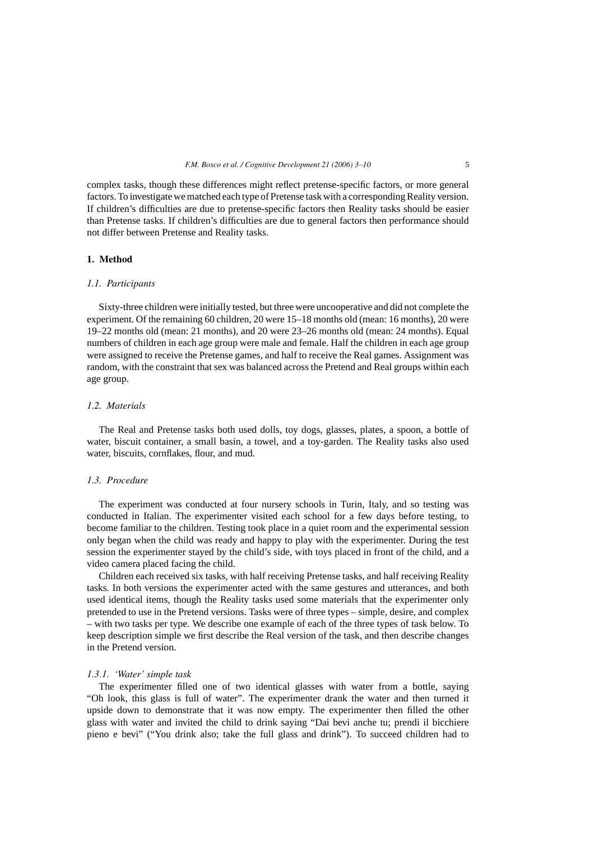complex tasks, though these differences might reflect pretense-specific factors, or more general factors. To investigate we matched each type of Pretense task with a corresponding Reality version. If children's difficulties are due to pretense-specific factors then Reality tasks should be easier than Pretense tasks. If children's difficulties are due to general factors then performance should not differ between Pretense and Reality tasks.

# **1. Method**

#### *1.1. Participants*

Sixty-three children were initially tested, but three were uncooperative and did not complete the experiment. Of the remaining 60 children, 20 were 15–18 months old (mean: 16 months), 20 were 19–22 months old (mean: 21 months), and 20 were 23–26 months old (mean: 24 months). Equal numbers of children in each age group were male and female. Half the children in each age group were assigned to receive the Pretense games, and half to receive the Real games. Assignment was random, with the constraint that sex was balanced across the Pretend and Real groups within each age group.

## *1.2. Materials*

The Real and Pretense tasks both used dolls, toy dogs, glasses, plates, a spoon, a bottle of water, biscuit container, a small basin, a towel, and a toy-garden. The Reality tasks also used water, biscuits, cornflakes, flour, and mud.

## *1.3. Procedure*

The experiment was conducted at four nursery schools in Turin, Italy, and so testing was conducted in Italian. The experimenter visited each school for a few days before testing, to become familiar to the children. Testing took place in a quiet room and the experimental session only began when the child was ready and happy to play with the experimenter. During the test session the experimenter stayed by the child's side, with toys placed in front of the child, and a video camera placed facing the child.

Children each received six tasks, with half receiving Pretense tasks, and half receiving Reality tasks. In both versions the experimenter acted with the same gestures and utterances, and both used identical items, though the Reality tasks used some materials that the experimenter only pretended to use in the Pretend versions. Tasks were of three types – simple, desire, and complex – with two tasks per type. We describe one example of each of the three types of task below. To keep description simple we first describe the Real version of the task, and then describe changes in the Pretend version.

#### *1.3.1. 'Water' simple task*

The experimenter filled one of two identical glasses with water from a bottle, saying "Oh look, this glass is full of water". The experimenter drank the water and then turned it upside down to demonstrate that it was now empty. The experimenter then filled the other glass with water and invited the child to drink saying "Dai bevi anche tu; prendi il bicchiere pieno e bevi" ("You drink also; take the full glass and drink"). To succeed children had to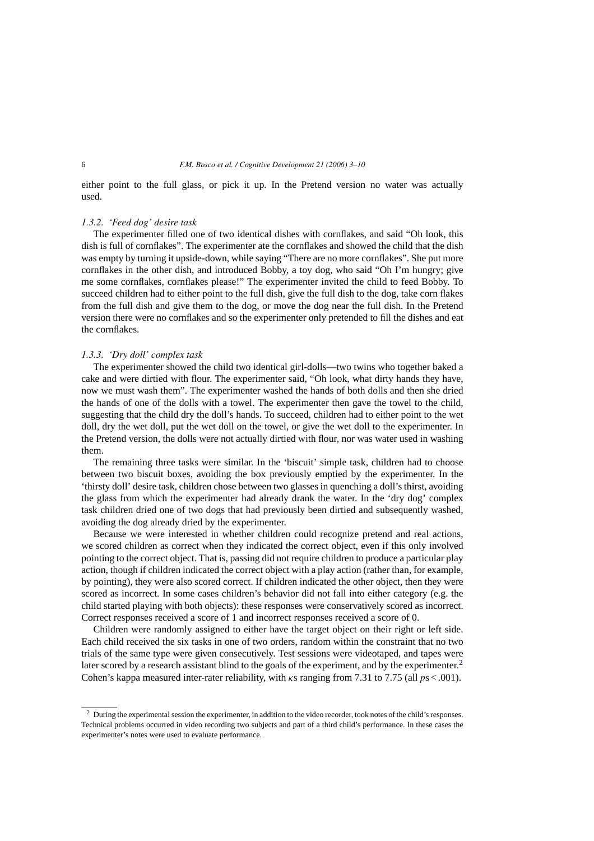either point to the full glass, or pick it up. In the Pretend version no water was actually used.

#### *1.3.2. 'Feed dog' desire task*

The experimenter filled one of two identical dishes with cornflakes, and said "Oh look, this dish is full of cornflakes". The experimenter ate the cornflakes and showed the child that the dish was empty by turning it upside-down, while saying "There are no more cornflakes". She put more cornflakes in the other dish, and introduced Bobby, a toy dog, who said "Oh I'm hungry; give me some cornflakes, cornflakes please!" The experimenter invited the child to feed Bobby. To succeed children had to either point to the full dish, give the full dish to the dog, take corn flakes from the full dish and give them to the dog, or move the dog near the full dish. In the Pretend version there were no cornflakes and so the experimenter only pretended to fill the dishes and eat the cornflakes.

## *1.3.3. 'Dry doll' complex task*

The experimenter showed the child two identical girl-dolls—two twins who together baked a cake and were dirtied with flour. The experimenter said, "Oh look, what dirty hands they have, now we must wash them". The experimenter washed the hands of both dolls and then she dried the hands of one of the dolls with a towel. The experimenter then gave the towel to the child, suggesting that the child dry the doll's hands. To succeed, children had to either point to the wet doll, dry the wet doll, put the wet doll on the towel, or give the wet doll to the experimenter. In the Pretend version, the dolls were not actually dirtied with flour, nor was water used in washing them.

The remaining three tasks were similar. In the 'biscuit' simple task, children had to choose between two biscuit boxes, avoiding the box previously emptied by the experimenter. In the 'thirsty doll' desire task, children chose between two glasses in quenching a doll's thirst, avoiding the glass from which the experimenter had already drank the water. In the 'dry dog' complex task children dried one of two dogs that had previously been dirtied and subsequently washed, avoiding the dog already dried by the experimenter.

Because we were interested in whether children could recognize pretend and real actions, we scored children as correct when they indicated the correct object, even if this only involved pointing to the correct object. That is, passing did not require children to produce a particular play action, though if children indicated the correct object with a play action (rather than, for example, by pointing), they were also scored correct. If children indicated the other object, then they were scored as incorrect. In some cases children's behavior did not fall into either category (e.g. the child started playing with both objects): these responses were conservatively scored as incorrect. Correct responses received a score of 1 and incorrect responses received a score of 0.

Children were randomly assigned to either have the target object on their right or left side. Each child received the six tasks in one of two orders, random within the constraint that no two trials of the same type were given consecutively. Test sessions were videotaped, and tapes were later scored by a research assistant blind to the goals of the experiment, and by the experimenter.<sup>2</sup> Cohen's kappa measured inter-rater reliability, with κs ranging from 7.31 to 7.75 (all *p*s < .001).

<sup>&</sup>lt;sup>2</sup> During the experimental session the experimenter, in addition to the video recorder, took notes of the child's responses. Technical problems occurred in video recording two subjects and part of a third child's performance. In these cases the experimenter's notes were used to evaluate performance.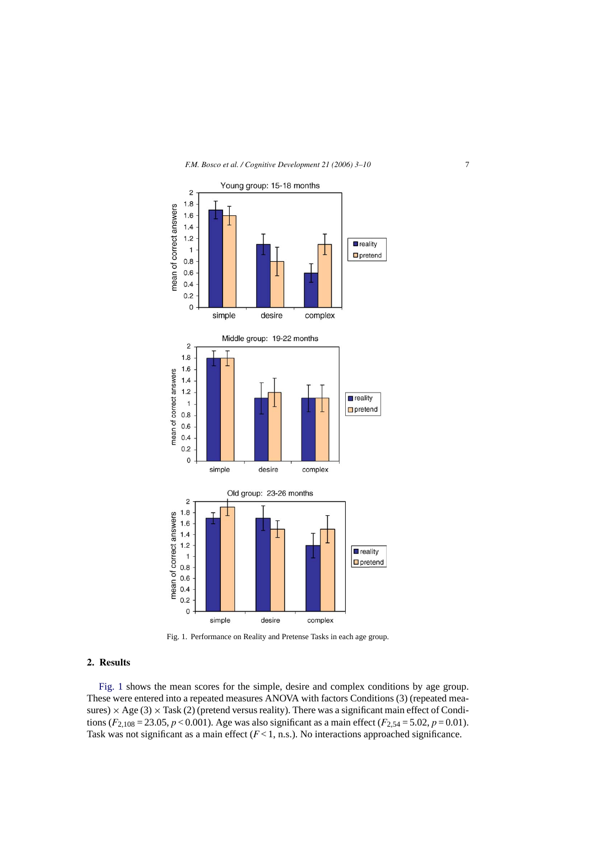

Fig. 1. Performance on Reality and Pretense Tasks in each age group.

## **2. Results**

Fig. 1 shows the mean scores for the simple, desire and complex conditions by age group. These were entered into a repeated measures ANOVA with factors Conditions (3) (repeated measures)  $\times$  Age (3)  $\times$  Task (2) (pretend versus reality). There was a significant main effect of Conditions ( $F_{2,108} = 23.05$ ,  $p < 0.001$ ). Age was also significant as a main effect ( $F_{2,54} = 5.02$ ,  $p = 0.01$ ). Task was not significant as a main effect (*F* < 1, n.s.). No interactions approached significance.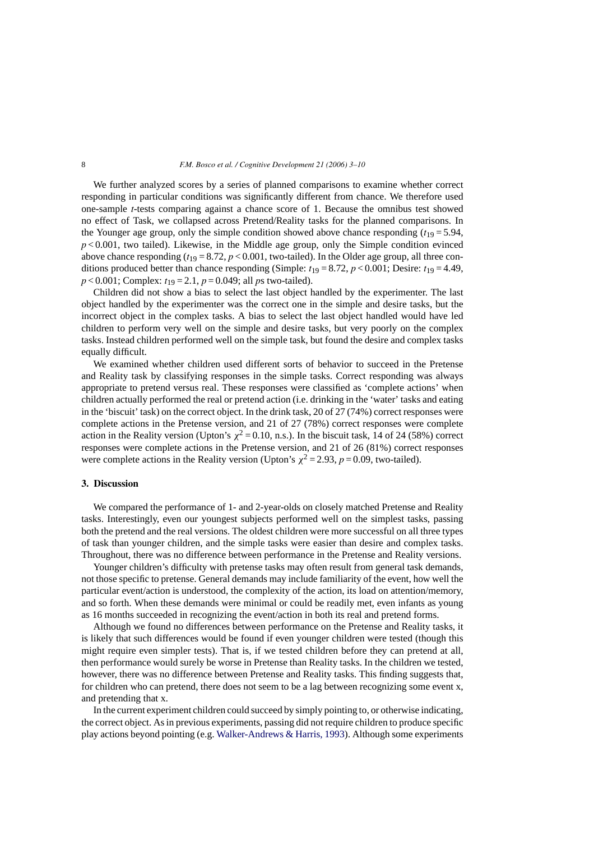We further analyzed scores by a series of planned comparisons to examine whether correct responding in particular conditions was significantly different from chance. We therefore used one-sample *t*-tests comparing against a chance score of 1. Because the omnibus test showed no effect of Task, we collapsed across Pretend/Reality tasks for the planned comparisons. In the Younger age group, only the simple condition showed above chance responding  $(t_{19} = 5.94,$  $p < 0.001$ , two tailed). Likewise, in the Middle age group, only the Simple condition evinced above chance responding  $(t_{19} = 8.72, p < 0.001$ , two-tailed). In the Older age group, all three conditions produced better than chance responding (Simple:  $t_{19} = 8.72$ ,  $p < 0.001$ ; Desire:  $t_{19} = 4.49$ , *p* < 0.001; Complex: *t*<sup>19</sup> = 2.1, *p* = 0.049; all *p*s two-tailed).

Children did not show a bias to select the last object handled by the experimenter. The last object handled by the experimenter was the correct one in the simple and desire tasks, but the incorrect object in the complex tasks. A bias to select the last object handled would have led children to perform very well on the simple and desire tasks, but very poorly on the complex tasks. Instead children performed well on the simple task, but found the desire and complex tasks equally difficult.

We examined whether children used different sorts of behavior to succeed in the Pretense and Reality task by classifying responses in the simple tasks. Correct responding was always appropriate to pretend versus real. These responses were classified as 'complete actions' when children actually performed the real or pretend action (i.e. drinking in the 'water' tasks and eating in the 'biscuit' task) on the correct object. In the drink task, 20 of 27 (74%) correct responses were complete actions in the Pretense version, and 21 of 27 (78%) correct responses were complete action in the Reality version (Upton's  $\chi^2$  = 0.10, n.s.). In the biscuit task, 14 of 24 (58%) correct responses were complete actions in the Pretense version, and 21 of 26 (81%) correct responses were complete actions in the Reality version (Upton's  $\chi^2 = 2.93$ ,  $p = 0.09$ , two-tailed).

## **3. Discussion**

We compared the performance of 1- and 2-year-olds on closely matched Pretense and Reality tasks. Interestingly, even our youngest subjects performed well on the simplest tasks, passing both the pretend and the real versions. The oldest children were more successful on all three types of task than younger children, and the simple tasks were easier than desire and complex tasks. Throughout, there was no difference between performance in the Pretense and Reality versions.

Younger children's difficulty with pretense tasks may often result from general task demands, not those specific to pretense. General demands may include familiarity of the event, how well the particular event/action is understood, the complexity of the action, its load on attention/memory, and so forth. When these demands were minimal or could be readily met, even infants as young as 16 months succeeded in recognizing the event/action in both its real and pretend forms.

Although we found no differences between performance on the Pretense and Reality tasks, it is likely that such differences would be found if even younger children were tested (though this might require even simpler tests). That is, if we tested children before they can pretend at all, then performance would surely be worse in Pretense than Reality tasks. In the children we tested, however, there was no difference between Pretense and Reality tasks. This finding suggests that, for children who can pretend, there does not seem to be a lag between recognizing some event x, and pretending that x.

In the current experiment children could succeed by simply pointing to, or otherwise indicating, the correct object. As in previous experiments, passing did not require children to produce specific play actions beyond pointing (e.g. [Walker-Andrews & Harris, 1993\).](#page-7-0) Although some experiments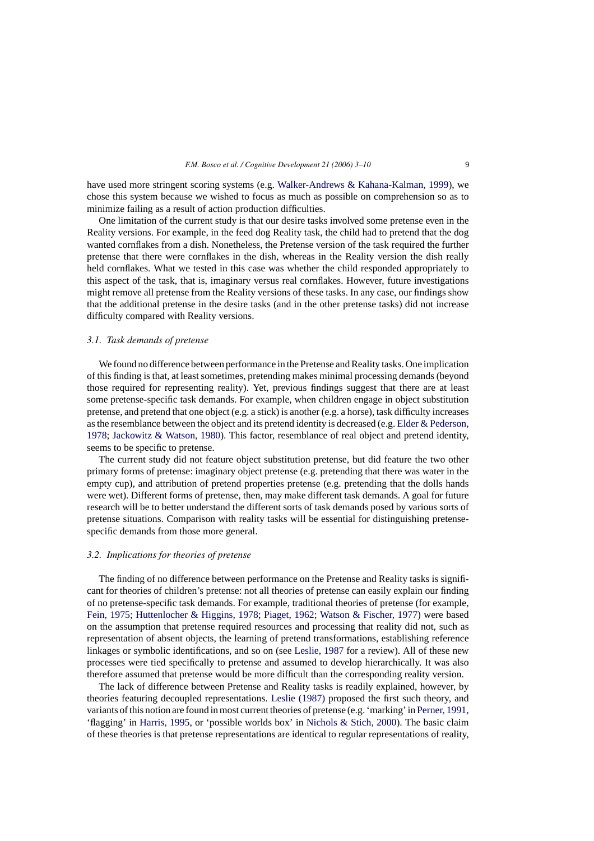have used more stringent scoring systems (e.g. [Walker-Andrews & Kahana-Kalman, 1999\),](#page-7-0) we chose this system because we wished to focus as much as possible on comprehension so as to minimize failing as a result of action production difficulties.

One limitation of the current study is that our desire tasks involved some pretense even in the Reality versions. For example, in the feed dog Reality task, the child had to pretend that the dog wanted cornflakes from a dish. Nonetheless, the Pretense version of the task required the further pretense that there were cornflakes in the dish, whereas in the Reality version the dish really held cornflakes. What we tested in this case was whether the child responded appropriately to this aspect of the task, that is, imaginary versus real cornflakes. However, future investigations might remove all pretense from the Reality versions of these tasks. In any case, our findings show that the additional pretense in the desire tasks (and in the other pretense tasks) did not increase difficulty compared with Reality versions.

#### *3.1. Task demands of pretense*

We found no difference between performance in the Pretense and Reality tasks. One implication of this finding is that, at least sometimes, pretending makes minimal processing demands (beyond those required for representing reality). Yet, previous findings suggest that there are at least some pretense-specific task demands. For example, when children engage in object substitution pretense, and pretend that one object (e.g. a stick) is another (e.g. a horse), task difficulty increases as the resemblance between the object and its pretend identity is decreased (e.g. [Elder & Pederson,](#page-7-0) [1978;](#page-7-0) [Jackowitz & Watson, 1980\).](#page-7-0) This factor, resemblance of real object and pretend identity, seems to be specific to pretense.

The current study did not feature object substitution pretense, but did feature the two other primary forms of pretense: imaginary object pretense (e.g. pretending that there was water in the empty cup), and attribution of pretend properties pretense (e.g. pretending that the dolls hands were wet). Different forms of pretense, then, may make different task demands. A goal for future research will be to better understand the different sorts of task demands posed by various sorts of pretense situations. Comparison with reality tasks will be essential for distinguishing pretensespecific demands from those more general.

#### *3.2. Implications for theories of pretense*

The finding of no difference between performance on the Pretense and Reality tasks is significant for theories of children's pretense: not all theories of pretense can easily explain our finding of no pretense-specific task demands. For example, traditional theories of pretense (for example, [Fein, 1975;](#page-7-0) [Huttenlocher & Higgins, 1978;](#page-7-0) [Piaget, 1962;](#page-7-0) [Watson & Fischer, 1977\)](#page-7-0) were based on the assumption that pretense required resources and processing that reality did not, such as representation of absent objects, the learning of pretend transformations, establishing reference linkages or symbolic identifications, and so on (see [Leslie, 1987](#page-7-0) for a review). All of these new processes were tied specifically to pretense and assumed to develop hierarchically. It was also therefore assumed that pretense would be more difficult than the corresponding reality version.

The lack of difference between Pretense and Reality tasks is readily explained, however, by theories featuring decoupled representations. [Leslie \(1987\)](#page-7-0) proposed the first such theory, and variants of this notion are found in most current theories of pretense (e.g. 'marking' in [Perner, 1991,](#page-7-0) 'flagging' in [Harris, 1995,](#page-7-0) or 'possible worlds box' in [Nichols & Stich, 2000\).](#page-7-0) The basic claim of these theories is that pretense representations are identical to regular representations of reality,